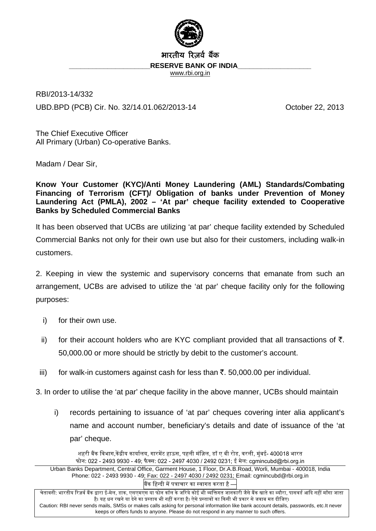

## भारतीय रिजर्व बैंक

RESERVE BANK OF INDIA

www.rbi.org.in

RBI/2013-14/332 UBD.BPD (PCB) Cir. No. 32/14.01.062/2013-14 October 22, 2013

The Chief Executive Officer All Primary (Urban) Co-operative Banks.

Madam / Dear Sir,

**Know Your Customer (KYC)/Anti Money Laundering (AML) Standards/Combating Financing of Terrorism (CFT)/ Obligation of banks under Prevention of Money Laundering Act (PMLA), 2002 – 'At par' cheque facility extended to Cooperative Banks by Scheduled Commercial Banks** 

It has been observed that UCBs are utilizing 'at par' cheque facility extended by Scheduled Commercial Banks not only for their own use but also for their customers, including walk-in customers.

2. Keeping in view the systemic and supervisory concerns that emanate from such an arrangement, UCBs are advised to utilize the 'at par' cheque facility only for the following purposes:

- i) for their own use.
- ii) for their account holders who are KYC compliant provided that all transactions of  $\bar{\tau}$ . 50,000.00 or more should be strictly by debit to the customer's account.
- iii) for walk-in customers against cash for less than  $\bar{\tau}$ . 50,000.00 per individual.

3. In order to utilise the 'at par' cheque facility in the above manner, UCBs should maintain

i) records pertaining to issuance of 'at par' cheques covering inter alia applicant's name and account number, beneficiary's details and date of issuance of the 'at par' cheque.

शहरी बैंक विभाग,केंद्रीय कार्यालय, गारमेंट हाऊस, पहली मंज़िल, डॉ ए बी रोड, वरली, मुंबई- 400018 भारत फोन: 022 - 2493 9930 - 49; फैक्स: 022 - 2497 4030 / 2492 0231; ई मेल: cgmincubd@rbi.org.in Urban Banks Department, Central Office, Garment House, 1 Floor, Dr.A.B.Road, Worli, Mumbai - 400018, India Phone: 022 - 2493 9930 - 49; Fax: 022 - 2497 4030 / 2492 0231; Email: cgmincubd@rbi.org.in बैंक हिन्दी में पत्राचार का स्वागत करता है –

चेतावनी: भारतीय रिज़र्व बैंक द्वारा ई-मेल, डाक, एसएमएस या फोन कॉल के जरिये कोई भी व्यक्तिगत जानकारी जैसे बैंक खाते का ब्यौरा, पासवर्ड आदि नहीं माँगा जाता है। यह धन रखने या देने का प्रस्ताव भी नहीं करता है। ऐसे प्रस्तावों का किसी भी प्रकार से जवाब मत दीजिए। Caution: RBI never sends mails, SMSs or makes calls asking for personal information like bank account details, passwords, etc.It never keeps or offers funds to anyone. Please do not respond in any manner to such offers.